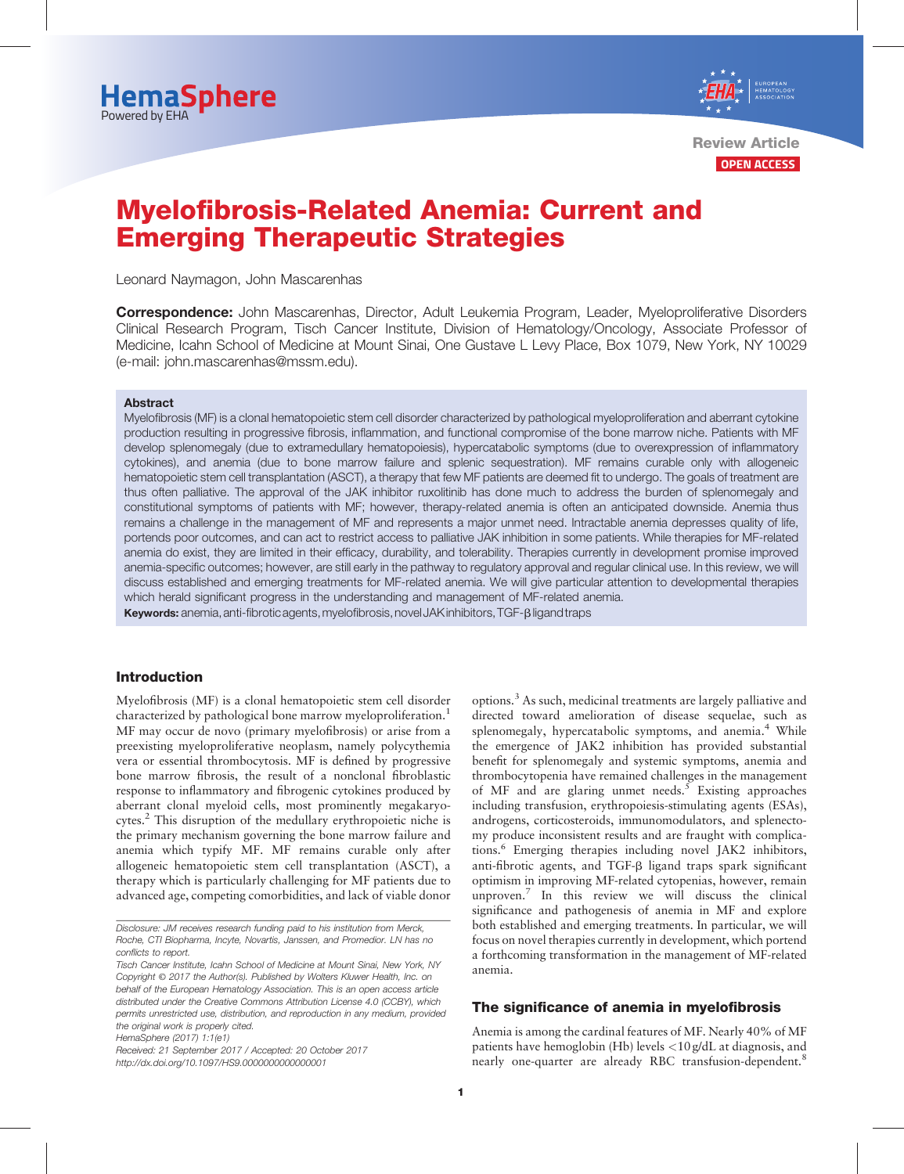



Review Article **OPEN ACCESS** 

# Myelofibrosis-Related Anemia: Current and Emerging Therapeutic Strategies

Leonard Naymagon, John Mascarenhas

Correspondence: John Mascarenhas, Director, Adult Leukemia Program, Leader, Myeloproliferative Disorders Clinical Research Program, Tisch Cancer Institute, Division of Hematology/Oncology, Associate Professor of Medicine, Icahn School of Medicine at Mount Sinai, One Gustave L Levy Place, Box 1079, New York, NY 10029 (e-mail: [john.mascarenhas@mssm.edu\).](mailto:john.mascarenhas@mssm.edu).)

#### Abstract

Myelofibrosis (MF) is a clonal hematopoietic stem cell disorder characterized by pathological myeloproliferation and aberrant cytokine production resulting in progressive fibrosis, inflammation, and functional compromise of the bone marrow niche. Patients with MF develop splenomegaly (due to extramedullary hematopoiesis), hypercatabolic symptoms (due to overexpression of inflammatory cytokines), and anemia (due to bone marrow failure and splenic sequestration). MF remains curable only with allogeneic hematopoietic stem cell transplantation (ASCT), a therapy that few MF patients are deemed fit to undergo. The goals of treatment are thus often palliative. The approval of the JAK inhibitor ruxolitinib has done much to address the burden of splenomegaly and constitutional symptoms of patients with MF; however, therapy-related anemia is often an anticipated downside. Anemia thus remains a challenge in the management of MF and represents a major unmet need. Intractable anemia depresses quality of life, portends poor outcomes, and can act to restrict access to palliative JAK inhibition in some patients. While therapies for MF-related anemia do exist, they are limited in their efficacy, durability, and tolerability. Therapies currently in development promise improved anemia-specific outcomes; however, are still early in the pathway to regulatory approval and regular clinical use. In this review, we will discuss established and emerging treatments for MF-related anemia. We will give particular attention to developmental therapies which herald significant progress in the understanding and management of MF-related anemia. Keywords: anemia, anti-fibrotic agents, myelofibrosis, novel JAK inhibitors, TGF-B ligand traps

## Introduction

Myelofibrosis (MF) is a clonal hematopoietic stem cell disorder characterized by pathological bone marrow myeloproliferation.<sup>[1](#page-7-0)</sup> MF may occur de novo (primary myelofibrosis) or arise from a preexisting myeloproliferative neoplasm, namely polycythemia vera or essential thrombocytosis. MF is defined by progressive bone marrow fibrosis, the result of a nonclonal fibroblastic response to inflammatory and fibrogenic cytokines produced by aberrant clonal myeloid cells, most prominently megakaryo-cytes.<sup>[2](#page-7-0)</sup> This disruption of the medullary erythropoietic niche is the primary mechanism governing the bone marrow failure and anemia which typify MF. MF remains curable only after allogeneic hematopoietic stem cell transplantation (ASCT), a therapy which is particularly challenging for MF patients due to advanced age, competing comorbidities, and lack of viable donor

HemaSphere (2017) 1:1(e1)

options.[3](#page-7-0) As such, medicinal treatments are largely palliative and directed toward amelioration of disease sequelae, such as splenomegaly, hypercatabolic symptoms, and anemia.<sup>[4](#page-7-0)</sup> While the emergence of JAK2 inhibition has provided substantial benefit for splenomegaly and systemic symptoms, anemia and thrombocytopenia have remained challenges in the management of MF and are glaring unmet needs.<sup>[5](#page-7-0)</sup> Existing approaches including transfusion, erythropoiesis-stimulating agents (ESAs), androgens, corticosteroids, immunomodulators, and splenectomy produce inconsistent results and are fraught with complications.[6](#page-7-0) Emerging therapies including novel JAK2 inhibitors, anti-fibrotic agents, and TGF- $\beta$  ligand traps spark significant optimism in improving MF-related cytopenias, however, remain unproven.[7](#page-7-0) In this review we will discuss the clinical significance and pathogenesis of anemia in MF and explore both established and emerging treatments. In particular, we will focus on novel therapies currently in development, which portend a forthcoming transformation in the management of MF-related anemia.

## The significance of anemia in myelofibrosis

Anemia is among the cardinal features of MF. Nearly 40% of MF patients have hemoglobin (Hb) levels <10 g/dL at diagnosis, and nearly one-quarter are already RBC transfusion-dependent.<sup>[8](#page-7-0)</sup>

Disclosure: JM receives research funding paid to his institution from Merck, Roche, CTI Biopharma, Incyte, Novartis, Janssen, and Promedior. LN has no conflicts to report.

Tisch Cancer Institute, Icahn School of Medicine at Mount Sinai, New York, NY Copyright © 2017 the Author(s). Published by Wolters Kluwer Health, Inc. on behalf of the European Hematology Association. This is an open access article distributed under the [Creative Commons Attribution License 4.0](http://creativecommons.org/licenses/by/4.0) (CCBY), which permits unrestricted use, distribution, and reproduction in any medium, provided the original work is properly cited.

Received: 21 September 2017 / Accepted: 20 October 2017 <http://dx.doi.org/10.1097/HS9.0000000000000001>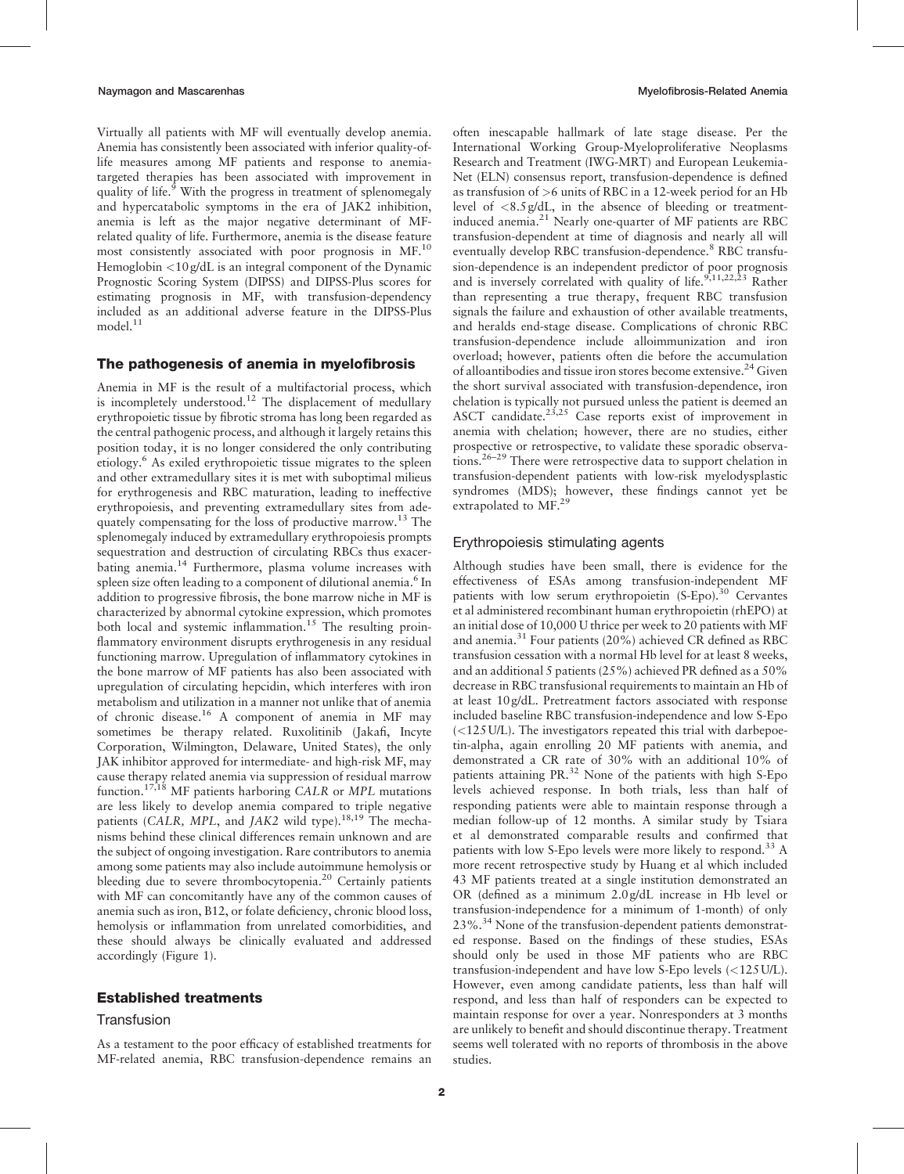Virtually all patients with MF will eventually develop anemia. Anemia has consistently been associated with inferior quality-oflife measures among MF patients and response to anemiatargeted therapies has been associated with improvement in quality of life. $\overline{9}$  $\overline{9}$  $\overline{9}$  With the progress in treatment of splenomegaly and hypercatabolic symptoms in the era of JAK2 inhibition, anemia is left as the major negative determinant of MFrelated quality of life. Furthermore, anemia is the disease feature most consistently associated with poor prognosis in MF.[10](#page-7-0) Hemoglobin <10 g/dL is an integral component of the Dynamic Prognostic Scoring System (DIPSS) and DIPSS-Plus scores for estimating prognosis in MF, with transfusion-dependency included as an additional adverse feature in the DIPSS-Plus model.<sup>11</sup>

#### The pathogenesis of anemia in myelofibrosis

Anemia in MF is the result of a multifactorial process, which is incompletely understood.<sup>[12](#page-7-0)</sup> The displacement of medullary erythropoietic tissue by fibrotic stroma has long been regarded as the central pathogenic process, and although it largely retains this position today, it is no longer considered the only contributing etiology.[6](#page-7-0) As exiled erythropoietic tissue migrates to the spleen and other extramedullary sites it is met with suboptimal milieus for erythrogenesis and RBC maturation, leading to ineffective erythropoiesis, and preventing extramedullary sites from adequately compensating for the loss of productive marrow.[13](#page-7-0) The splenomegaly induced by extramedullary erythropoiesis prompts sequestration and destruction of circulating RBCs thus exacer-bating anemia.<sup>[14](#page-7-0)</sup> Furthermore, plasma volume increases with spleen size often leading to a component of dilutional anemia.<sup>[6](#page-7-0)</sup> In addition to progressive fibrosis, the bone marrow niche in MF is characterized by abnormal cytokine expression, which promotes both local and systemic inflammation.<sup>[15](#page-7-0)</sup> The resulting proinflammatory environment disrupts erythrogenesis in any residual functioning marrow. Upregulation of inflammatory cytokines in the bone marrow of MF patients has also been associated with upregulation of circulating hepcidin, which interferes with iron metabolism and utilization in a manner not unlike that of anemia of chronic disease.[16](#page-7-0) A component of anemia in MF may sometimes be therapy related. Ruxolitinib (Jakafi, Incyte Corporation, Wilmington, Delaware, United States), the only JAK inhibitor approved for intermediate- and high-risk MF, may cause therapy related anemia via suppression of residual marrow function.<sup>17,18</sup> MF patients harboring CALR or MPL mutations are less likely to develop anemia compared to triple negative patients (CALR, MPL, and JAK2 wild type).<sup>18,19</sup> The mechanisms behind these clinical differences remain unknown and are the subject of ongoing investigation. Rare contributors to anemia among some patients may also include autoimmune hemolysis or bleeding due to severe thrombocytopenia.<sup>[20](#page-7-0)</sup> Certainly patients with MF can concomitantly have any of the common causes of anemia such as iron, B12, or folate deficiency, chronic blood loss, hemolysis or inflammation from unrelated comorbidities, and these should always be clinically evaluated and addressed accordingly [\(Figure 1](#page-2-0)).

## Established treatments

#### **Transfusion**

As a testament to the poor efficacy of established treatments for MF-related anemia, RBC transfusion-dependence remains an often inescapable hallmark of late stage disease. Per the International Working Group-Myeloproliferative Neoplasms Research and Treatment (IWG-MRT) and European Leukemia-Net (ELN) consensus report, transfusion-dependence is defined as transfusion of >6 units of RBC in a 12-week period for an Hb level of <8.5 g/dL, in the absence of bleeding or treatment-induced anemia.<sup>[21](#page-7-0)</sup> Nearly one-quarter of MF patients are RBC transfusion-dependent at time of diagnosis and nearly all will eventually develop RBC transfusion-dependence.[8](#page-7-0) RBC transfusion-dependence is an independent predictor of poor prognosis and is inversely correlated with quality of life.<sup>9,11,22,23</sup> Rather than representing a true therapy, frequent RBC transfusion signals the failure and exhaustion of other available treatments, and heralds end-stage disease. Complications of chronic RBC transfusion-dependence include alloimmunization and iron overload; however, patients often die before the accumulation of alloantibodies and tissue iron stores become extensive.[24](#page-7-0) Given the short survival associated with transfusion-dependence, iron chelation is typically not pursued unless the patient is deemed an ASCT candidate.<sup>23,25</sup> Case reports exist of improvement in anemia with chelation; however, there are no studies, either prospective or retrospective, to validate these sporadic observations.<sup>26-29</sup> There were retrospective data to support chelation in transfusion-dependent patients with low-risk myelodysplastic syndromes (MDS); however, these findings cannot yet be extrapolated to MF.<sup>29</sup>

### Erythropoiesis stimulating agents

Although studies have been small, there is evidence for the effectiveness of ESAs among transfusion-independent MF patients with low serum erythropoietin (S-Epo).<sup>[30](#page-7-0)</sup> Cervantes et al administered recombinant human erythropoietin (rhEPO) at an initial dose of 10,000 U thrice per week to 20 patients with MF and anemia. $^{31}$  $^{31}$  $^{31}$  Four patients (20%) achieved CR defined as RBC transfusion cessation with a normal Hb level for at least 8 weeks, and an additional 5 patients (25%) achieved PR defined as a 50% decrease in RBC transfusional requirements to maintain an Hb of at least 10 g/dL. Pretreatment factors associated with response included baseline RBC transfusion-independence and low S-Epo (<125 U/L). The investigators repeated this trial with darbepoetin-alpha, again enrolling 20 MF patients with anemia, and demonstrated a CR rate of 30% with an additional 10% of patients attaining PR.<sup>[32](#page-7-0)</sup> None of the patients with high S-Epo levels achieved response. In both trials, less than half of responding patients were able to maintain response through a median follow-up of 12 months. A similar study by Tsiara et al demonstrated comparable results and confirmed that patients with low S-Epo levels were more likely to respond.<sup>[33](#page-7-0)</sup> A more recent retrospective study by Huang et al which included 43 MF patients treated at a single institution demonstrated an OR (defined as a minimum 2.0 g/dL increase in Hb level or transfusion-independence for a minimum of 1-month) of only 23%.<sup>34</sup> None of the transfusion-dependent patients demonstrated response. Based on the findings of these studies, ESAs should only be used in those MF patients who are RBC transfusion-independent and have low S-Epo levels (<125 U/L). However, even among candidate patients, less than half will respond, and less than half of responders can be expected to maintain response for over a year. Nonresponders at 3 months are unlikely to benefit and should discontinue therapy. Treatment seems well tolerated with no reports of thrombosis in the above studies.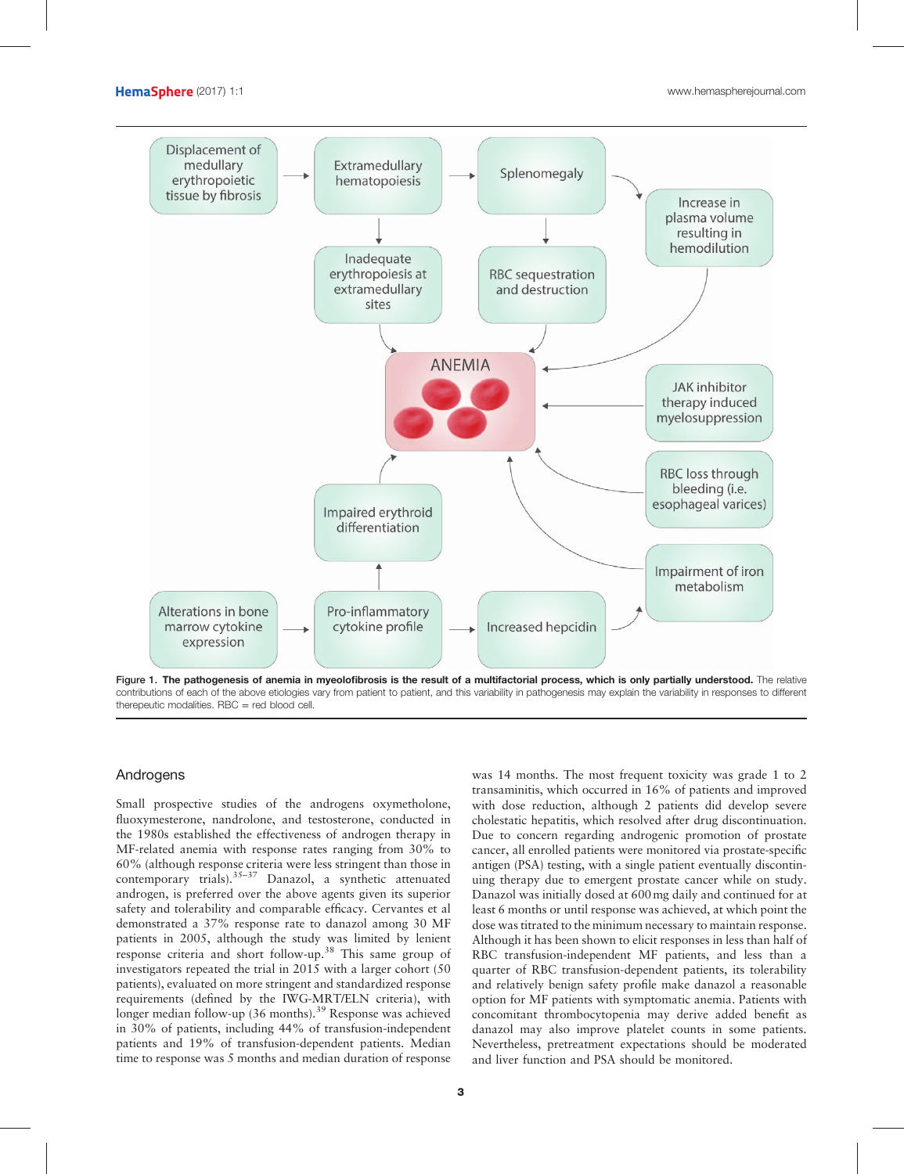<span id="page-2-0"></span>

contributions of each of the above etiologies vary from patient to patient, and this variability in pathogenesis may explain the variability in responses to different therepeutic modalities.  $RBC = red blood cell$ .

## Androgens

Small prospective studies of the androgens oxymetholone, fluoxymesterone, nandrolone, and testosterone, conducted in the 1980s established the effectiveness of androgen therapy in MF-related anemia with response rates ranging from 30% to 60% (although response criteria were less stringent than those in contemporary trials).35–<sup>37</sup> Danazol, a synthetic attenuated androgen, is preferred over the above agents given its superior safety and tolerability and comparable efficacy. Cervantes et al demonstrated a 37% response rate to danazol among 30 MF patients in 2005, although the study was limited by lenient response criteria and short follow-up.<sup>[38](#page-7-0)</sup> This same group of investigators repeated the trial in 2015 with a larger cohort (50 patients), evaluated on more stringent and standardized response requirements (defined by the IWG-MRT/ELN criteria), with longer median follow-up (36 months).<sup>[39](#page-7-0)</sup> Response was achieved in 30% of patients, including 44% of transfusion-independent patients and 19% of transfusion-dependent patients. Median time to response was 5 months and median duration of response was 14 months. The most frequent toxicity was grade 1 to 2 transaminitis, which occurred in 16% of patients and improved with dose reduction, although 2 patients did develop severe cholestatic hepatitis, which resolved after drug discontinuation. Due to concern regarding androgenic promotion of prostate cancer, all enrolled patients were monitored via prostate-specific antigen (PSA) testing, with a single patient eventually discontinuing therapy due to emergent prostate cancer while on study. Danazol was initially dosed at 600mg daily and continued for at least 6 months or until response was achieved, at which point the dose was titrated to the minimum necessary to maintain response. Although it has been shown to elicit responses in less than half of RBC transfusion-independent MF patients, and less than a quarter of RBC transfusion-dependent patients, its tolerability and relatively benign safety profile make danazol a reasonable option for MF patients with symptomatic anemia. Patients with concomitant thrombocytopenia may derive added benefit as danazol may also improve platelet counts in some patients. Nevertheless, pretreatment expectations should be moderated and liver function and PSA should be monitored.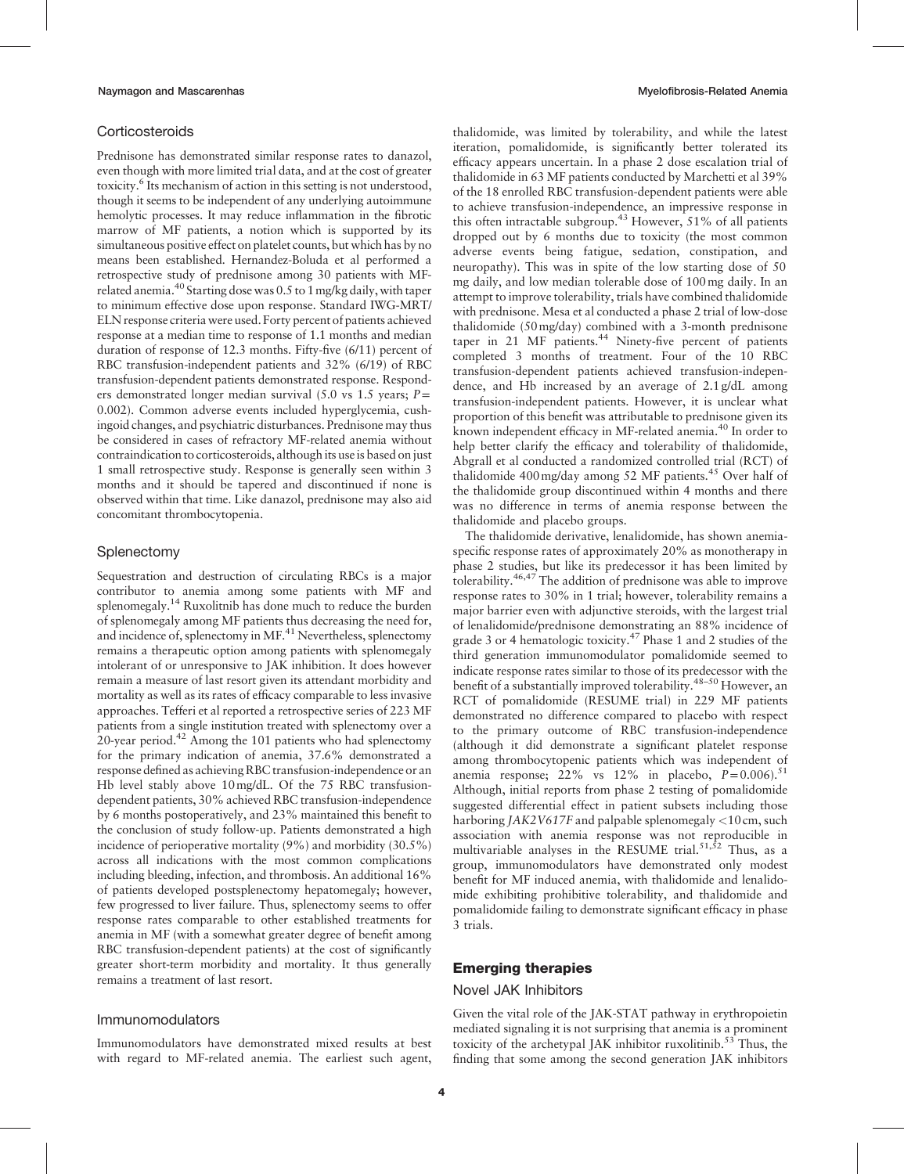#### **Corticosteroids**

Prednisone has demonstrated similar response rates to danazol, even though with more limited trial data, and at the cost of greater toxicity.[6](#page-7-0) Its mechanism of action in this setting is not understood, though it seems to be independent of any underlying autoimmune hemolytic processes. It may reduce inflammation in the fibrotic marrow of MF patients, a notion which is supported by its simultaneous positive effect on platelet counts, but which has by no means been established. Hernandez-Boluda et al performed a retrospective study of prednisone among 30 patients with MF-related anemia.<sup>[40](#page-7-0)</sup> Starting dose was  $0.5$  to 1 mg/kg daily, with taper to minimum effective dose upon response. Standard IWG-MRT/ ELN response criteria were used. Forty percent of patients achieved response at a median time to response of 1.1 months and median duration of response of 12.3 months. Fifty-five (6/11) percent of RBC transfusion-independent patients and 32% (6/19) of RBC transfusion-dependent patients demonstrated response. Responders demonstrated longer median survival (5.0 vs 1.5 years;  $P=$ 0.002). Common adverse events included hyperglycemia, cushingoid changes, and psychiatric disturbances. Prednisone may thus be considered in cases of refractory MF-related anemia without contraindication to corticosteroids, although its use is based on just 1 small retrospective study. Response is generally seen within 3 months and it should be tapered and discontinued if none is observed within that time. Like danazol, prednisone may also aid concomitant thrombocytopenia.

#### **Splenectomy**

Sequestration and destruction of circulating RBCs is a major contributor to anemia among some patients with MF and splenomegaly[.14](#page-7-0) Ruxolitnib has done much to reduce the burden of splenomegaly among MF patients thus decreasing the need for, and incidence of, splenectomy in MF.<sup>[41](#page-7-0)</sup> Nevertheless, splenectomy remains a therapeutic option among patients with splenomegaly intolerant of or unresponsive to JAK inhibition. It does however remain a measure of last resort given its attendant morbidity and mortality as well as its rates of efficacy comparable to less invasive approaches. Tefferi et al reported a retrospective series of 223 MF patients from a single institution treated with splenectomy over a 20-year period.<sup>42</sup> Among the 101 patients who had splenectomy for the primary indication of anemia, 37.6% demonstrated a response defined as achieving RBC transfusion-independence or an Hb level stably above 10mg/dL. Of the 75 RBC transfusiondependent patients, 30% achieved RBC transfusion-independence by 6 months postoperatively, and 23% maintained this benefit to the conclusion of study follow-up. Patients demonstrated a high incidence of perioperative mortality (9%) and morbidity (30.5%) across all indications with the most common complications including bleeding, infection, and thrombosis. An additional 16% of patients developed postsplenectomy hepatomegaly; however, few progressed to liver failure. Thus, splenectomy seems to offer response rates comparable to other established treatments for anemia in MF (with a somewhat greater degree of benefit among RBC transfusion-dependent patients) at the cost of significantly greater short-term morbidity and mortality. It thus generally remains a treatment of last resort.

#### Immunomodulators

Immunomodulators have demonstrated mixed results at best with regard to MF-related anemia. The earliest such agent, thalidomide, was limited by tolerability, and while the latest iteration, pomalidomide, is significantly better tolerated its efficacy appears uncertain. In a phase 2 dose escalation trial of thalidomide in 63 MF patients conducted by Marchetti et al 39% of the 18 enrolled RBC transfusion-dependent patients were able to achieve transfusion-independence, an impressive response in this often intractable subgroup.<sup>[43](#page-7-0)</sup> However,  $51\%$  of all patients dropped out by 6 months due to toxicity (the most common adverse events being fatigue, sedation, constipation, and neuropathy). This was in spite of the low starting dose of 50 mg daily, and low median tolerable dose of 100mg daily. In an attempt to improve tolerability, trials have combined thalidomide with prednisone. Mesa et al conducted a phase 2 trial of low-dose thalidomide (50mg/day) combined with a 3-month prednisone taper in  $21$  MF patients.<sup>[44](#page-7-0)</sup> Ninety-five percent of patients completed 3 months of treatment. Four of the 10 RBC transfusion-dependent patients achieved transfusion-independence, and Hb increased by an average of 2.1 g/dL among transfusion-independent patients. However, it is unclear what proportion of this benefit was attributable to prednisone given its known independent efficacy in MF-related anemia.[40](#page-7-0) In order to help better clarify the efficacy and tolerability of thalidomide, Abgrall et al conducted a randomized controlled trial (RCT) of thalidomide 400 mg/day among 52 MF patients.<sup>[45](#page-7-0)</sup> Over half of the thalidomide group discontinued within 4 months and there was no difference in terms of anemia response between the thalidomide and placebo groups.

The thalidomide derivative, lenalidomide, has shown anemiaspecific response rates of approximately 20% as monotherapy in phase 2 studies, but like its predecessor it has been limited by tolerability. $46,47$  The addition of prednisone was able to improve response rates to 30% in 1 trial; however, tolerability remains a major barrier even with adjunctive steroids, with the largest trial of lenalidomide/prednisone demonstrating an 88% incidence of grade 3 or 4 hematologic toxicity.[47](#page-7-0) Phase 1 and 2 studies of the third generation immunomodulator pomalidomide seemed to indicate response rates similar to those of its predecessor with the benefit of a substantially improved tolerability.<sup>48–50</sup> However, an RCT of pomalidomide (RESUME trial) in 229 MF patients demonstrated no difference compared to placebo with respect to the primary outcome of RBC transfusion-independence (although it did demonstrate a significant platelet response among thrombocytopenic patients which was independent of anemia response; 22% vs 12% in placebo,  $P=0.006$ .<sup>[51](#page-8-0)</sup> Although, initial reports from phase 2 testing of pomalidomide suggested differential effect in patient subsets including those harboring JAK2V617F and palpable splenomegaly <10 cm, such association with anemia response was not reproducible in multivariable analyses in the RESUME trial.<sup>51,52</sup> Thus, as a group, immunomodulators have demonstrated only modest benefit for MF induced anemia, with thalidomide and lenalidomide exhibiting prohibitive tolerability, and thalidomide and pomalidomide failing to demonstrate significant efficacy in phase 3 trials.

#### Emerging therapies

## Novel JAK Inhibitors

Given the vital role of the JAK-STAT pathway in erythropoietin mediated signaling it is not surprising that anemia is a prominent toxicity of the archetypal JAK inhibitor ruxolitinib.<sup>[53](#page-8-0)</sup> Thus, the finding that some among the second generation JAK inhibitors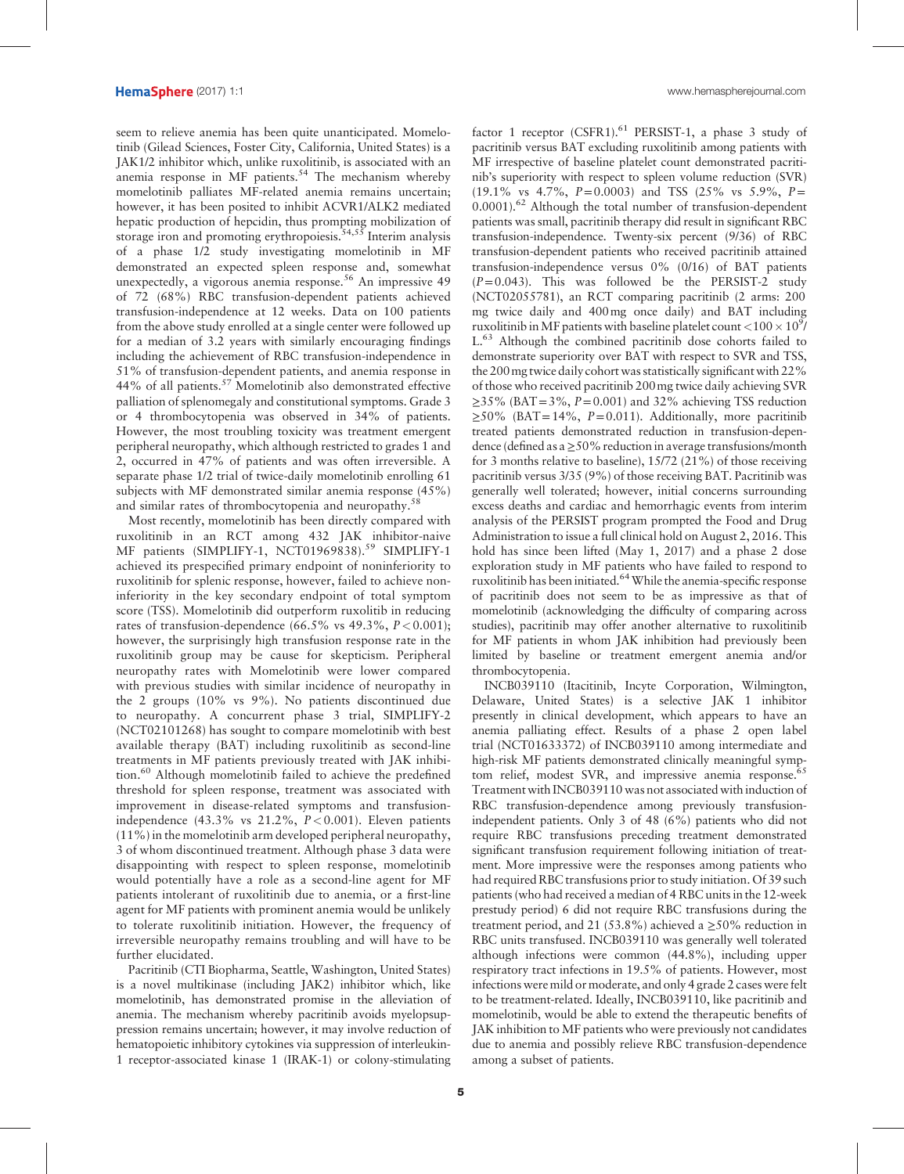seem to relieve anemia has been quite unanticipated. Momelotinib (Gilead Sciences, Foster City, California, United States) is a JAK1/2 inhibitor which, unlike ruxolitinib, is associated with an anemia response in MF patients.<sup>[54](#page-8-0)</sup> The mechanism whereby momelotinib palliates MF-related anemia remains uncertain; however, it has been posited to inhibit ACVR1/ALK2 mediated hepatic production of hepcidin, thus prompting mobilization of storage iron and promoting erythropoiesis.<sup>54,55</sup> Interim analysis of a phase 1/2 study investigating momelotinib in MF demonstrated an expected spleen response and, somewhat unexpectedly, a vigorous anemia response.<sup>[56](#page-8-0)</sup> An impressive 49 of 72 (68%) RBC transfusion-dependent patients achieved transfusion-independence at 12 weeks. Data on 100 patients from the above study enrolled at a single center were followed up for a median of 3.2 years with similarly encouraging findings including the achievement of RBC transfusion-independence in 51% of transfusion-dependent patients, and anemia response in 44% of all patients.<sup>[57](#page-8-0)</sup> Momelotinib also demonstrated effective palliation of splenomegaly and constitutional symptoms. Grade 3 or 4 thrombocytopenia was observed in 34% of patients. However, the most troubling toxicity was treatment emergent peripheral neuropathy, which although restricted to grades 1 and 2, occurred in 47% of patients and was often irreversible. A separate phase 1/2 trial of twice-daily momelotinib enrolling 61 subjects with MF demonstrated similar anemia response (45%) and similar rates of thrombocytopenia and neuropathy.<sup>[58](#page-8-0)</sup>

Most recently, momelotinib has been directly compared with ruxolitinib in an RCT among 432 JAK inhibitor-naive MF patients (SIMPLIFY-1, NCT01969838).<sup>[59](#page-8-0)</sup> SIMPLIFY-1 achieved its prespecified primary endpoint of noninferiority to ruxolitinib for splenic response, however, failed to achieve noninferiority in the key secondary endpoint of total symptom score (TSS). Momelotinib did outperform ruxolitib in reducing rates of transfusion-dependence (66.5% vs 49.3%,  $P < 0.001$ ); however, the surprisingly high transfusion response rate in the ruxolitinib group may be cause for skepticism. Peripheral neuropathy rates with Momelotinib were lower compared with previous studies with similar incidence of neuropathy in the 2 groups (10% vs 9%). No patients discontinued due to neuropathy. A concurrent phase 3 trial, SIMPLIFY-2 (NCT02101268) has sought to compare momelotinib with best available therapy (BAT) including ruxolitinib as second-line treatments in MF patients previously treated with JAK inhibi-tion.<sup>[60](#page-8-0)</sup> Although momelotinib failed to achieve the predefined threshold for spleen response, treatment was associated with improvement in disease-related symptoms and transfusionindependence  $(43.3\%$  vs  $21.2\%$ ,  $P < 0.001$ ). Eleven patients (11%) in the momelotinib arm developed peripheral neuropathy, 3 of whom discontinued treatment. Although phase 3 data were disappointing with respect to spleen response, momelotinib would potentially have a role as a second-line agent for MF patients intolerant of ruxolitinib due to anemia, or a first-line agent for MF patients with prominent anemia would be unlikely to tolerate ruxolitinib initiation. However, the frequency of irreversible neuropathy remains troubling and will have to be further elucidated.

Pacritinib (CTI Biopharma, Seattle, Washington, United States) is a novel multikinase (including JAK2) inhibitor which, like momelotinib, has demonstrated promise in the alleviation of anemia. The mechanism whereby pacritinib avoids myelopsuppression remains uncertain; however, it may involve reduction of hematopoietic inhibitory cytokines via suppression of interleukin-1 receptor-associated kinase 1 (IRAK-1) or colony-stimulating

factor 1 receptor (CSFR1).<sup>[61](#page-8-0)</sup> PERSIST-1, a phase 3 study of pacritinib versus BAT excluding ruxolitinib among patients with MF irrespective of baseline platelet count demonstrated pacritinib's superiority with respect to spleen volume reduction (SVR)  $(19.1\%$  vs 4.7%,  $P=0.0003$  and TSS  $(25\%$  vs 5.9%,  $P=$ 0.0001).<sup>[62](#page-8-0)</sup> Although the total number of transfusion-dependent patients was small, pacritinib therapy did result in significant RBC transfusion-independence. Twenty-six percent (9/36) of RBC transfusion-dependent patients who received pacritinib attained transfusion-independence versus 0% (0/16) of BAT patients  $(P=0.043)$ . This was followed be the PERSIST-2 study (NCT02055781), an RCT comparing pacritinib (2 arms: 200 mg twice daily and 400mg once daily) and BAT including ruxolitinib in MF patients with baseline platelet count  $\langle 100 \times 10^9 \rangle$ L.<sup>[63](#page-8-0)</sup> Although the combined pacritinib dose cohorts failed to demonstrate superiority over BAT with respect to SVR and TSS, the 200mg twice daily cohort was statistically significant with 22% of those who received pacritinib 200mg twice daily achieving SVR  $\geq$ 35% (BAT=3%, P=0.001) and 32% achieving TSS reduction  $\geq$ 50% (BAT=14%, P=0.011). Additionally, more pacritinib treated patients demonstrated reduction in transfusion-dependence (defined as  $a \ge 50\%$  reduction in average transfusions/month for 3 months relative to baseline), 15/72 (21%) of those receiving pacritinib versus 3/35 (9%) of those receiving BAT. Pacritinib was generally well tolerated; however, initial concerns surrounding excess deaths and cardiac and hemorrhagic events from interim analysis of the PERSIST program prompted the Food and Drug Administration to issue a full clinical hold on August 2, 2016. This hold has since been lifted (May 1, 2017) and a phase 2 dose exploration study in MF patients who have failed to respond to ruxolitinib has been initiated.<sup>[64](#page-8-0)</sup> While the anemia-specific response of pacritinib does not seem to be as impressive as that of momelotinib (acknowledging the difficulty of comparing across studies), pacritinib may offer another alternative to ruxolitinib for MF patients in whom JAK inhibition had previously been limited by baseline or treatment emergent anemia and/or thrombocytopenia.

INCB039110 (Itacitinib, Incyte Corporation, Wilmington, Delaware, United States) is a selective JAK 1 inhibitor presently in clinical development, which appears to have an anemia palliating effect. Results of a phase 2 open label trial (NCT01633372) of INCB039110 among intermediate and high-risk MF patients demonstrated clinically meaningful symp-tom relief, modest SVR, and impressive anemia response.<sup>[65](#page-8-0)</sup> Treatment with INCB039110 was not associated with induction of RBC transfusion-dependence among previously transfusionindependent patients. Only 3 of 48 (6%) patients who did not require RBC transfusions preceding treatment demonstrated significant transfusion requirement following initiation of treatment. More impressive were the responses among patients who had required RBC transfusions prior to study initiation. Of 39 such patients (who had received a median of 4 RBC units in the 12-week prestudy period) 6 did not require RBC transfusions during the treatment period, and 21 (53.8%) achieved a  $\geq$ 50% reduction in RBC units transfused. INCB039110 was generally well tolerated although infections were common (44.8%), including upper respiratory tract infections in 19.5% of patients. However, most infections were mild or moderate, and only 4 grade 2 cases were felt to be treatment-related. Ideally, INCB039110, like pacritinib and momelotinib, would be able to extend the therapeutic benefits of JAK inhibition to MF patients who were previously not candidates due to anemia and possibly relieve RBC transfusion-dependence among a subset of patients.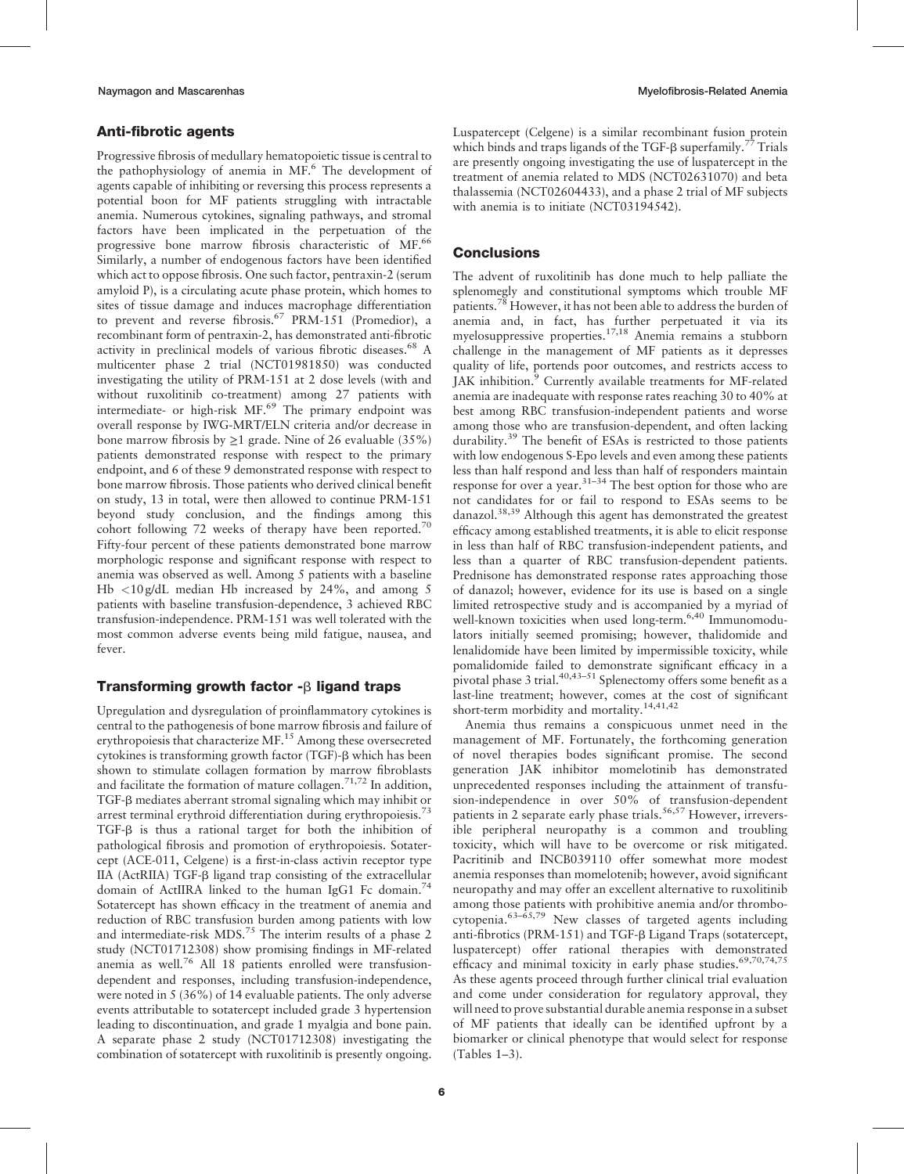## Anti-fibrotic agents

Progressive fibrosis of medullary hematopoietic tissue is central to the pathophysiology of anemia in MF.<sup>[6](#page-7-0)</sup> The development of agents capable of inhibiting or reversing this process represents a potential boon for MF patients struggling with intractable anemia. Numerous cytokines, signaling pathways, and stromal factors have been implicated in the perpetuation of the progressive bone marrow fibrosis characteristic of MF.[66](#page-8-0) Similarly, a number of endogenous factors have been identified which act to oppose fibrosis. One such factor, pentraxin-2 (serum amyloid P), is a circulating acute phase protein, which homes to sites of tissue damage and induces macrophage differentiation to prevent and reverse fibrosis.<sup>[67](#page-8-0)</sup> PRM-151<sup> (Promedior), a</sup> recombinant form of pentraxin-2, has demonstrated anti-fibrotic activity in preclinical models of various fibrotic diseases.<sup>[68](#page-8-0)</sup> A multicenter phase 2 trial (NCT01981850) was conducted investigating the utility of PRM-151 at 2 dose levels (with and without ruxolitinib co-treatment) among 27 patients with intermediate- or high-risk MF.<sup>[69](#page-8-0)</sup> The primary endpoint was overall response by IWG-MRT/ELN criteria and/or decrease in bone marrow fibrosis by  $\geq 1$  grade. Nine of 26 evaluable (35%) patients demonstrated response with respect to the primary endpoint, and 6 of these 9 demonstrated response with respect to bone marrow fibrosis. Those patients who derived clinical benefit on study, 13 in total, were then allowed to continue PRM-151 beyond study conclusion, and the findings among this cohort following 72 weeks of therapy have been reported.[70](#page-8-0) Fifty-four percent of these patients demonstrated bone marrow morphologic response and significant response with respect to anemia was observed as well. Among 5 patients with a baseline Hb <10 g/dL median Hb increased by 24%, and among 5 patients with baseline transfusion-dependence, 3 achieved RBC transfusion-independence. PRM-151 was well tolerated with the most common adverse events being mild fatigue, nausea, and fever.

## Transforming growth factor  $- \beta$  ligand traps

Upregulation and dysregulation of proinflammatory cytokines is central to the pathogenesis of bone marrow fibrosis and failure of erythropoiesis that characterize MF.<sup>[15](#page-7-0)</sup> Among these oversecreted cytokines is transforming growth factor (TGF)- $\beta$  which has been shown to stimulate collagen formation by marrow fibroblasts and facilitate the formation of mature collagen.<sup>71,72</sup> In addition, TGF-b mediates aberrant stromal signaling which may inhibit or arrest terminal erythroid differentiation during erythropoiesis.<sup>[73](#page-8-0)</sup> TGF- $\beta$  is thus a rational target for both the inhibition of pathological fibrosis and promotion of erythropoiesis. Sotatercept (ACE-011, Celgene) is a first-in-class activin receptor type  $IIA$  (ActRIIA) TGF- $\beta$  ligand trap consisting of the extracellular domain of ActIIRA linked to the human IgG1 Fc domain.<sup>[74](#page-8-0)</sup> Sotatercept has shown efficacy in the treatment of anemia and reduction of RBC transfusion burden among patients with low and intermediate-risk MDS.<sup>[75](#page-8-0)</sup> The interim results of a phase 2 study (NCT01712308) show promising findings in MF-related anemia as well.<sup>[76](#page-8-0)</sup> All 18 patients enrolled were transfusiondependent and responses, including transfusion-independence, were noted in 5 (36%) of 14 evaluable patients. The only adverse events attributable to sotatercept included grade 3 hypertension leading to discontinuation, and grade 1 myalgia and bone pain. A separate phase 2 study (NCT01712308) investigating the combination of sotatercept with ruxolitinib is presently ongoing.

Luspatercept (Celgene) is a similar recombinant fusion protein which binds and traps ligands of the TGF- $\beta$  superfamily.<sup>[77](#page-8-0)</sup> Trials are presently ongoing investigating the use of luspatercept in the treatment of anemia related to MDS (NCT02631070) and beta thalassemia (NCT02604433), and a phase 2 trial of MF subjects with anemia is to initiate (NCT03194542).

## **Conclusions**

The advent of ruxolitinib has done much to help palliate the splenomegly and constitutional symptoms which trouble MF patients.<sup>[78](#page-8-0)</sup> However, it has not been able to address the burden of anemia and, in fact, has further perpetuated it via its myelosuppressive properties.17,18 Anemia remains a stubborn challenge in the management of MF patients as it depresses quality of life, portends poor outcomes, and restricts access to JAK inhibition.<sup>[9](#page-7-0)</sup> Currently available treatments for MF-related anemia are inadequate with response rates reaching 30 to 40% at best among RBC transfusion-independent patients and worse among those who are transfusion-dependent, and often lacking durability.<sup>[39](#page-7-0)</sup> The benefit of ESAs is restricted to those patients with low endogenous S-Epo levels and even among these patients less than half respond and less than half of responders maintain response for over a year.<sup>31–34</sup> The best option for those who are not candidates for or fail to respond to ESAs seems to be danazol.38,39 Although this agent has demonstrated the greatest efficacy among established treatments, it is able to elicit response in less than half of RBC transfusion-independent patients, and less than a quarter of RBC transfusion-dependent patients. Prednisone has demonstrated response rates approaching those of danazol; however, evidence for its use is based on a single limited retrospective study and is accompanied by a myriad of well-known toxicities when used long-term.<sup>6,40</sup> Immunomodulators initially seemed promising; however, thalidomide and lenalidomide have been limited by impermissible toxicity, while pomalidomide failed to demonstrate significant efficacy in a pivotal phase 3 trial.40,43–<sup>51</sup> Splenectomy offers some benefit as a last-line treatment; however, comes at the cost of significant short-term morbidity and mortality.<sup>14,41,42</sup>

Anemia thus remains a conspicuous unmet need in the management of MF. Fortunately, the forthcoming generation of novel therapies bodes significant promise. The second generation JAK inhibitor momelotinib has demonstrated unprecedented responses including the attainment of transfusion-independence in over 50% of transfusion-dependent patients in 2 separate early phase trials.<sup>56,57</sup> However, irreversible peripheral neuropathy is a common and troubling toxicity, which will have to be overcome or risk mitigated. Pacritinib and INCB039110 offer somewhat more modest anemia responses than momelotenib; however, avoid significant neuropathy and may offer an excellent alternative to ruxolitinib among those patients with prohibitive anemia and/or thrombocytopenia.63–65,79 New classes of targeted agents including anti-fibrotics (PRM-151) and TGF- $\beta$  Ligand Traps (sotatercept, luspatercept) offer rational therapies with demonstrated efficacy and minimal toxicity in early phase studies.<sup>69,70,74,75</sup> As these agents proceed through further clinical trial evaluation and come under consideration for regulatory approval, they will need to prove substantial durable anemia response in a subset of MF patients that ideally can be identified upfront by a biomarker or clinical phenotype that would select for response (Tables 1–3).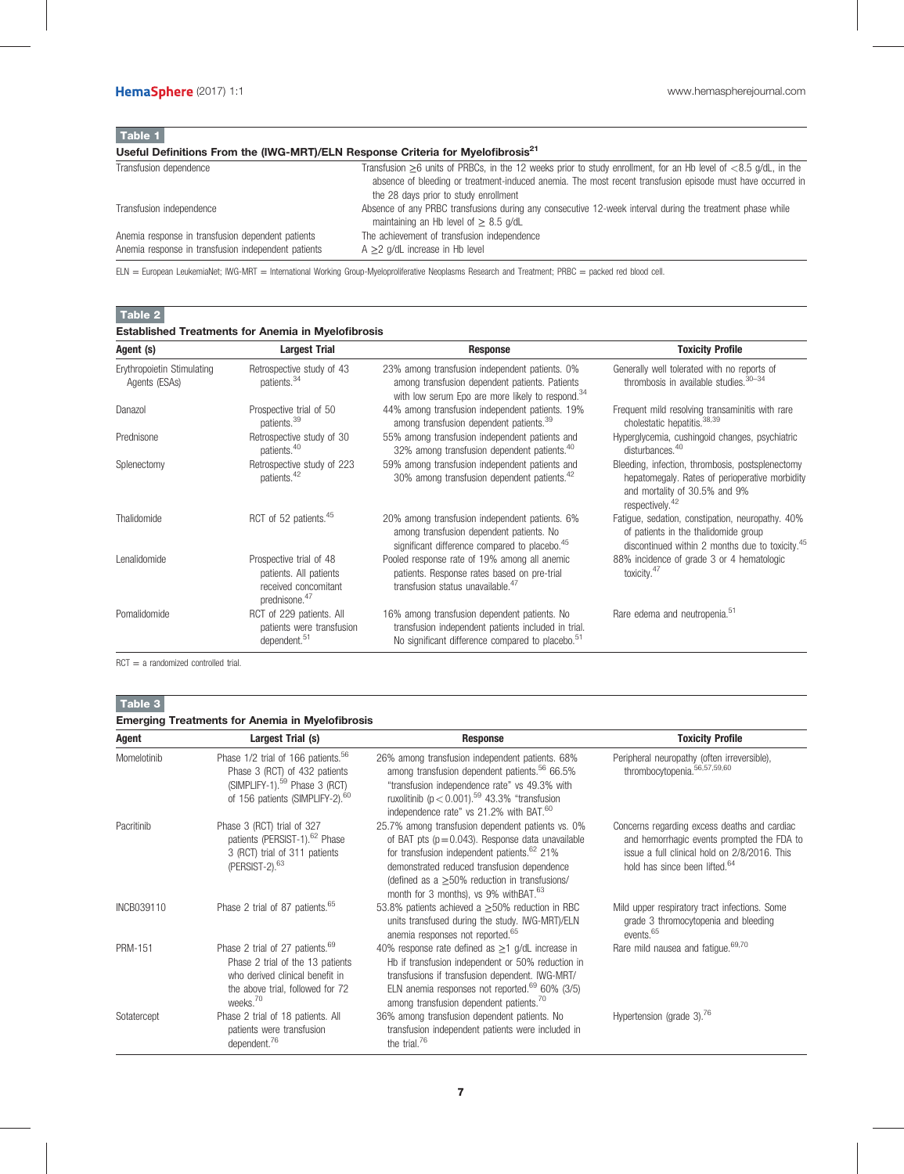## Table 1

## Useful Definitions From the (IWG-MRT)/ELN Response Criteria for Myelofibrosis<sup>21</sup>

| Transfusion dependence                                                                                   | Transfusion $\geq 6$ units of PRBCs, in the 12 weeks prior to study enrollment, for an Hb level of $\lt 8.5$ g/dL, in the                               |  |  |
|----------------------------------------------------------------------------------------------------------|---------------------------------------------------------------------------------------------------------------------------------------------------------|--|--|
|                                                                                                          | absence of bleeding or treatment-induced anemia. The most recent transfusion episode must have occurred in                                              |  |  |
|                                                                                                          | the 28 days prior to study enrollment                                                                                                                   |  |  |
| Transfusion independence                                                                                 | Absence of any PRBC transfusions during any consecutive 12-week interval during the treatment phase while<br>maintaining an Hb level of $\geq$ 8.5 g/dL |  |  |
| Anemia response in transfusion dependent patients<br>Anemia response in transfusion independent patients | The achievement of transfusion independence<br>$A \geq 2$ g/dL increase in Hb level                                                                     |  |  |

ELN = European LeukemiaNet; IWG-MRT = International Working Group-Myeloproliferative Neoplasms Research and Treatment; PRBC = packed red blood cell.

## Table 2

Established Treatments for Anemia in Myelofibrosis

| Agent (s)                                   | <b>Largest Trial</b>                                                                                   | <b>Response</b>                                                                                                                                                     | <b>Toxicity Profile</b>                                                                                                                                            |
|---------------------------------------------|--------------------------------------------------------------------------------------------------------|---------------------------------------------------------------------------------------------------------------------------------------------------------------------|--------------------------------------------------------------------------------------------------------------------------------------------------------------------|
| Erythropoietin Stimulating<br>Agents (ESAs) | Retrospective study of 43<br>patients. <sup>34</sup>                                                   | 23% among transfusion independent patients. 0%<br>among transfusion dependent patients. Patients<br>with low serum Epo are more likely to respond. <sup>34</sup>    | Generally well tolerated with no reports of<br>thrombosis in available studies. $30-34$                                                                            |
| Danazol                                     | Prospective trial of 50<br>patients. <sup>39</sup>                                                     | 44% among transfusion independent patients. 19%<br>among transfusion dependent patients. <sup>39</sup>                                                              | Frequent mild resolving transaminitis with rare<br>cholestatic hepatitis. <sup>38,39</sup>                                                                         |
| Prednisone                                  | Retrospective study of 30<br>patients. <sup>40</sup>                                                   | 55% among transfusion independent patients and<br>32% among transfusion dependent patients. <sup>40</sup>                                                           | Hyperglycemia, cushingoid changes, psychiatric<br>disturbances. <sup>40</sup>                                                                                      |
| Splenectomy                                 | Retrospective study of 223<br>patients. <sup>42</sup>                                                  | 59% among transfusion independent patients and<br>30% among transfusion dependent patients. <sup>42</sup>                                                           | Bleeding, infection, thrombosis, postsplenectomy<br>hepatomegaly. Rates of perioperative morbidity<br>and mortality of 30.5% and 9%<br>respectively. <sup>42</sup> |
| Thalidomide                                 | RCT of 52 patients. <sup>45</sup>                                                                      | 20% among transfusion independent patients. 6%<br>among transfusion dependent patients. No<br>significant difference compared to placebo. <sup>45</sup>             | Fatigue, sedation, constipation, neuropathy. 40%<br>of patients in the thalidomide group<br>discontinued within 2 months due to toxicity. <sup>45</sup>            |
| Lenalidomide                                | Prospective trial of 48<br>patients. All patients<br>received concomitant<br>prednisone. <sup>47</sup> | Pooled response rate of 19% among all anemic<br>patients. Response rates based on pre-trial<br>transfusion status unavailable. <sup>47</sup>                        | 88% incidence of grade 3 or 4 hematologic<br>toxicity. <sup>47</sup>                                                                                               |
| Pomalidomide                                | RCT of 229 patients. All<br>patients were transfusion<br>dependent. <sup>51</sup>                      | 16% among transfusion dependent patients. No<br>transfusion independent patients included in trial.<br>No significant difference compared to placebo. <sup>51</sup> | Rare edema and neutropenia. <sup>51</sup>                                                                                                                          |

 $RCT = a$  randomized controlled trial.

## Table 3

## Emerging Treatments for Anemia in Myelofibrosis

| Agent             | Largest Trial (s)                                                                                                                                                              | <b>Response</b>                                                                                                                                                                                                                                                                                                       | <b>Toxicity Profile</b>                                                                                                                                                                 |
|-------------------|--------------------------------------------------------------------------------------------------------------------------------------------------------------------------------|-----------------------------------------------------------------------------------------------------------------------------------------------------------------------------------------------------------------------------------------------------------------------------------------------------------------------|-----------------------------------------------------------------------------------------------------------------------------------------------------------------------------------------|
| Momelotinib       | Phase 1/2 trial of 166 patients. <sup>56</sup><br>Phase 3 (RCT) of 432 patients<br>(SIMPLIFY-1). <sup>59</sup> Phase 3 (RCT)<br>of 156 patients (SIMPLIFY-2). <sup>60</sup>    | 26% among transfusion independent patients. 68%<br>among transfusion dependent patients. <sup>56</sup> 66.5%<br>"transfusion independence rate" vs 49.3% with<br>ruxolitinib ( $p < 0.001$ ). <sup>59</sup> 43.3% "transfusion<br>independence rate" vs 21.2% with BAT. <sup>60</sup>                                 | Peripheral neuropathy (often irreversible),<br>thrombocytopenia. <sup>56,57,59,60</sup>                                                                                                 |
| Pacritinib        | Phase 3 (RCT) trial of 327<br>patients (PERSIST-1). <sup>62</sup> Phase<br>3 (RCT) trial of 311 patients<br>$(PERSIST-2).63$                                                   | 25.7% among transfusion dependent patients vs. 0%<br>of BAT pts ( $p = 0.043$ ). Response data unavailable<br>for transfusion independent patients. $62$ 21%<br>demonstrated reduced transfusion dependence<br>(defined as a $>50\%$ reduction in transfusions/<br>month for 3 months), vs 9% with BAT. <sup>63</sup> | Concerns regarding excess deaths and cardiac<br>and hemorrhagic events prompted the FDA to<br>issue a full clinical hold on 2/8/2016. This<br>hold has since been lifted. <sup>64</sup> |
| <b>INCB039110</b> | Phase 2 trial of 87 patients. <sup>65</sup>                                                                                                                                    | 53.8% patients achieved a $\geq$ 50% reduction in RBC<br>units transfused during the study. IWG-MRT)/ELN<br>anemia responses not reported. <sup>65</sup>                                                                                                                                                              | Mild upper respiratory tract infections. Some<br>grade 3 thromocytopenia and bleeding<br>events. <sup>65</sup>                                                                          |
| <b>PRM-151</b>    | Phase 2 trial of 27 patients. <sup>69</sup><br>Phase 2 trial of the 13 patients<br>who derived clinical benefit in<br>the above trial, followed for 72<br>weeks. <sup>70</sup> | 40% response rate defined as $\geq$ 1 g/dL increase in<br>Hb if transfusion independent or 50% reduction in<br>transfusions if transfusion dependent. IWG-MRT/<br>ELN anemia responses not reported. <sup>69</sup> 60% (3/5)<br>among transfusion dependent patients. <sup>70</sup>                                   | Rare mild nausea and fatigue. <sup>69,70</sup>                                                                                                                                          |
| Sotatercept       | Phase 2 trial of 18 patients. All<br>patients were transfusion<br>dependent. <sup>76</sup>                                                                                     | 36% among transfusion dependent patients. No<br>transfusion independent patients were included in<br>the trial. $^{76}$                                                                                                                                                                                               | Hypertension (grade 3). <sup>6</sup>                                                                                                                                                    |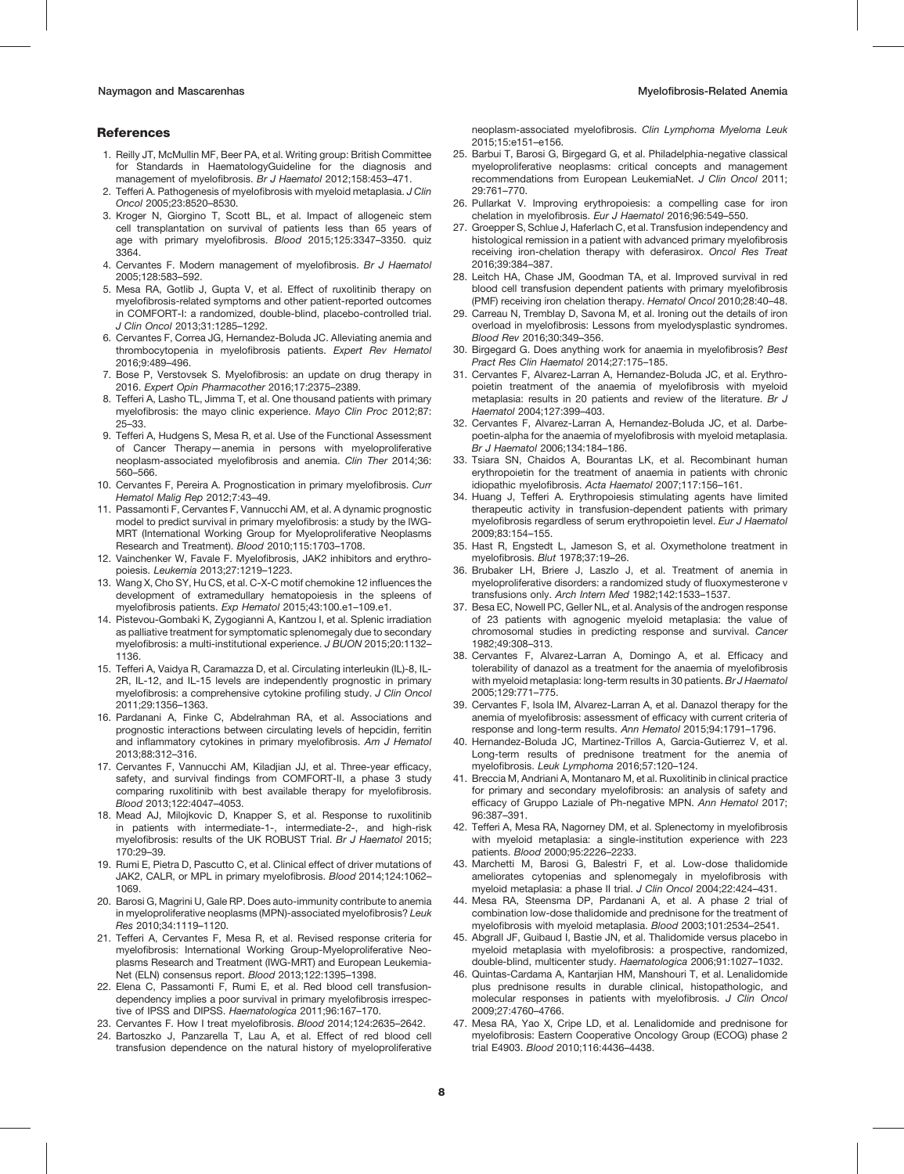#### <span id="page-7-0"></span>**References**

- 1. Reilly JT, McMullin MF, Beer PA, et al. Writing group: British Committee for Standards in HaematologyGuideline for the diagnosis and management of myelofibrosis. Br J Haematol 2012;158:453–471.
- 2. Tefferi A. Pathogenesis of myelofibrosis with myeloid metaplasia. J Clin Oncol 2005;23:8520–8530.
- 3. Kroger N, Giorgino T, Scott BL, et al. Impact of allogeneic stem cell transplantation on survival of patients less than 65 years of age with primary myelofibrosis. Blood 2015;125:3347–3350. quiz 3364.
- 4. Cervantes F. Modern management of myelofibrosis. Br J Haematol 2005;128:583–592.
- 5. Mesa RA, Gotlib J, Gupta V, et al. Effect of ruxolitinib therapy on myelofibrosis-related symptoms and other patient-reported outcomes in COMFORT-I: a randomized, double-blind, placebo-controlled trial. J Clin Oncol 2013;31:1285–1292.
- 6. Cervantes F, Correa JG, Hernandez-Boluda JC. Alleviating anemia and thrombocytopenia in myelofibrosis patients. Expert Rev Hematol 2016;9:489–496.
- 7. Bose P, Verstovsek S. Myelofibrosis: an update on drug therapy in 2016. Expert Opin Pharmacother 2016;17:2375–2389.
- 8. Tefferi A, Lasho TL, Jimma T, et al. One thousand patients with primary myelofibrosis: the mayo clinic experience. Mayo Clin Proc 2012;87: 25–33.
- 9. Tefferi A, Hudgens S, Mesa R, et al. Use of the Functional Assessment of Cancer Therapy—anemia in persons with myeloproliferative neoplasm-associated myelofibrosis and anemia. Clin Ther 2014;36: 560–566.
- 10. Cervantes F, Pereira A. Prognostication in primary myelofibrosis. Curr Hematol Malig Rep 2012;7:43–49.
- 11. Passamonti F, Cervantes F, Vannucchi AM, et al. A dynamic prognostic model to predict survival in primary myelofibrosis: a study by the IWG-MRT (International Working Group for Myeloproliferative Neoplasms Research and Treatment). Blood 2010;115:1703–1708.
- 12. Vainchenker W, Favale F. Myelofibrosis, JAK2 inhibitors and erythropoiesis. Leukemia 2013;27:1219–1223.
- 13. Wang X, Cho SY, Hu CS, et al. C-X-C motif chemokine 12 influences the development of extramedullary hematopoiesis in the spleens of myelofibrosis patients. Exp Hematol 2015;43:100.e1–109.e1.
- 14. Pistevou-Gombaki K, Zygogianni A, Kantzou I, et al. Splenic irradiation as palliative treatment for symptomatic splenomegaly due to secondary myelofibrosis: a multi-institutional experience. J BUON 2015;20:1132– 1136.
- 15. Tefferi A, Vaidya R, Caramazza D, et al. Circulating interleukin (IL)-8, IL-2R, IL-12, and IL-15 levels are independently prognostic in primary myelofibrosis: a comprehensive cytokine profiling study. J Clin Oncol 2011;29:1356–1363.
- 16. Pardanani A, Finke C, Abdelrahman RA, et al. Associations and prognostic interactions between circulating levels of hepcidin, ferritin and inflammatory cytokines in primary myelofibrosis. Am J Hematol 2013;88:312–316.
- 17. Cervantes F, Vannucchi AM, Kiladjian JJ, et al. Three-year efficacy, safety, and survival findings from COMFORT-II, a phase 3 study comparing ruxolitinib with best available therapy for myelofibrosis. Blood 2013;122:4047–4053.
- 18. Mead AJ, Milojkovic D, Knapper S, et al. Response to ruxolitinib in patients with intermediate-1-, intermediate-2-, and high-risk myelofibrosis: results of the UK ROBUST Trial. Br J Haematol 2015; 170:29–39.
- 19. Rumi E, Pietra D, Pascutto C, et al. Clinical effect of driver mutations of JAK2, CALR, or MPL in primary myelofibrosis. Blood 2014;124:1062– 1069.
- 20. Barosi G, Magrini U, Gale RP. Does auto-immunity contribute to anemia in myeloproliferative neoplasms (MPN)-associated myelofibrosis? Leuk Res 2010;34:1119–1120.
- 21. Tefferi A, Cervantes F, Mesa R, et al. Revised response criteria for myelofibrosis: International Working Group-Myeloproliferative Neoplasms Research and Treatment (IWG-MRT) and European Leukemia-Net (ELN) consensus report. Blood 2013;122:1395–1398.
- 22. Elena C, Passamonti F, Rumi E, et al. Red blood cell transfusiondependency implies a poor survival in primary myelofibrosis irrespective of IPSS and DIPSS. Haematologica 2011;96:167–170.
- 23. Cervantes F. How I treat myelofibrosis. Blood 2014;124:2635–2642.
- 24. Bartoszko J, Panzarella T, Lau A, et al. Effect of red blood cell transfusion dependence on the natural history of myeloproliferative

neoplasm-associated myelofibrosis. Clin Lymphoma Myeloma Leuk 2015;15:e151–e156.

- 25. Barbui T, Barosi G, Birgegard G, et al. Philadelphia-negative classical myeloproliferative neoplasms: critical concepts and management recommendations from European LeukemiaNet. J Clin Oncol 2011; 29:761–770.
- 26. Pullarkat V. Improving erythropoiesis: a compelling case for iron chelation in myelofibrosis. Eur J Haematol 2016;96:549–550.
- 27. Groepper S, Schlue J, Haferlach C, et al. Transfusion independency and histological remission in a patient with advanced primary myelofibrosis receiving iron-chelation therapy with deferasirox. Oncol Res Treat 2016;39:384–387.
- 28. Leitch HA, Chase JM, Goodman TA, et al. Improved survival in red blood cell transfusion dependent patients with primary myelofibrosis (PMF) receiving iron chelation therapy. Hematol Oncol 2010;28:40–48.
- 29. Carreau N, Tremblay D, Savona M, et al. Ironing out the details of iron overload in myelofibrosis: Lessons from myelodysplastic syndromes. Blood Rev 2016;30:349–356.
- 30. Birgegard G. Does anything work for anaemia in myelofibrosis? Best Pract Res Clin Haematol 2014;27:175–185.
- 31. Cervantes F, Alvarez-Larran A, Hernandez-Boluda JC, et al. Erythropoietin treatment of the anaemia of myelofibrosis with myeloid metaplasia: results in 20 patients and review of the literature. Br J Haematol 2004;127:399–403.
- 32. Cervantes F, Alvarez-Larran A, Hernandez-Boluda JC, et al. Darbepoetin-alpha for the anaemia of myelofibrosis with myeloid metaplasia. Br J Haematol 2006;134:184–186.
- 33. Tsiara SN, Chaidos A, Bourantas LK, et al. Recombinant human erythropoietin for the treatment of anaemia in patients with chronic idiopathic myelofibrosis. Acta Haematol 2007;117:156–161.
- 34. Huang J, Tefferi A. Erythropoiesis stimulating agents have limited therapeutic activity in transfusion-dependent patients with primary myelofibrosis regardless of serum erythropoietin level. Eur J Haematol 2009;83:154–155.
- 35. Hast R, Engstedt L, Jameson S, et al. Oxymetholone treatment in myelofibrosis. Blut 1978;37:19–26.
- 36. Brubaker LH, Briere J, Laszlo J, et al. Treatment of anemia in myeloproliferative disorders: a randomized study of fluoxymesterone v transfusions only. Arch Intern Med 1982;142:1533–1537.
- 37. Besa EC, Nowell PC, Geller NL, et al. Analysis of the androgen response of 23 patients with agnogenic myeloid metaplasia: the value of chromosomal studies in predicting response and survival. Cancer 1982;49:308–313.
- 38. Cervantes F, Alvarez-Larran A, Domingo A, et al. Efficacy and tolerability of danazol as a treatment for the anaemia of myelofibrosis with myeloid metaplasia: long-term results in 30 patients. Br J Haematol 2005;129:771–775.
- 39. Cervantes F, Isola IM, Alvarez-Larran A, et al. Danazol therapy for the anemia of myelofibrosis: assessment of efficacy with current criteria of response and long-term results. Ann Hematol 2015;94:1791–1796.
- 40. Hernandez-Boluda JC, Martinez-Trillos A, Garcia-Gutierrez V, et al. Long-term results of prednisone treatment for the anemia of myelofibrosis. Leuk Lymphoma 2016;57:120–124.
- 41. Breccia M, Andriani A, Montanaro M, et al. Ruxolitinib in clinical practice for primary and secondary myelofibrosis: an analysis of safety and efficacy of Gruppo Laziale of Ph-negative MPN. Ann Hematol 2017; 96:387–391.
- 42. Tefferi A, Mesa RA, Nagorney DM, et al. Splenectomy in myelofibrosis with myeloid metaplasia: a single-institution experience with 223 patients. Blood 2000;95:2226–2233.
- 43. Marchetti M, Barosi G, Balestri F, et al. Low-dose thalidomide ameliorates cytopenias and splenomegaly in myelofibrosis with myeloid metaplasia: a phase II trial. J Clin Oncol 2004;22:424–431.
- 44. Mesa RA, Steensma DP, Pardanani A, et al. A phase 2 trial of combination low-dose thalidomide and prednisone for the treatment of myelofibrosis with myeloid metaplasia. Blood 2003;101:2534–2541.
- 45. Abgrall JF, Guibaud I, Bastie JN, et al. Thalidomide versus placebo in myeloid metaplasia with myelofibrosis: a prospective, randomized, double-blind, multicenter study. Haematologica 2006;91:1027–1032.
- 46. Quintas-Cardama A, Kantarjian HM, Manshouri T, et al. Lenalidomide plus prednisone results in durable clinical, histopathologic, and molecular responses in patients with myelofibrosis. J Clin Oncol 2009;27:4760–4766.
- 47. Mesa RA, Yao X, Cripe LD, et al. Lenalidomide and prednisone for myelofibrosis: Eastern Cooperative Oncology Group (ECOG) phase 2 trial E4903. Blood 2010;116:4436–4438.